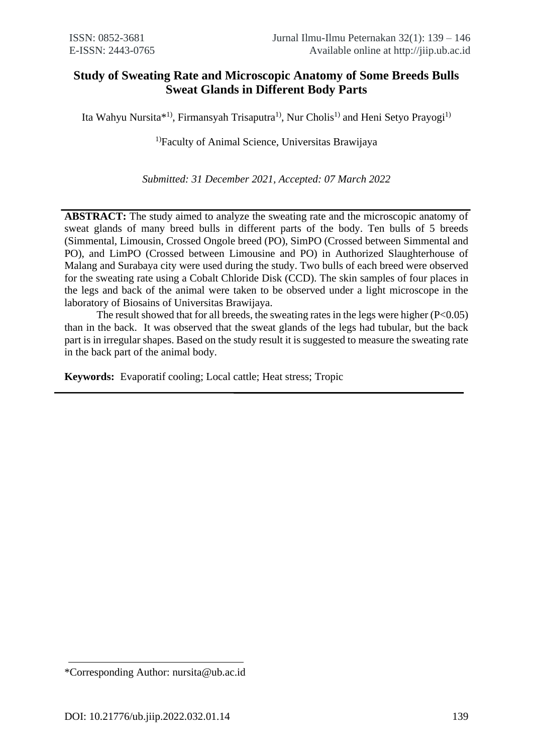# **Study of Sweating Rate and Microscopic Anatomy of Some Breeds Bulls Sweat Glands in Different Body Parts**

Ita Wahyu Nursita\*<sup>1)</sup>, Firmansyah Trisaputra<sup>1)</sup>, Nur Cholis<sup>1)</sup> and Heni Setyo Prayogi<sup>1)</sup>

<sup>1)</sup>Faculty of Animal Science, Universitas Brawijaya

*Submitted: 31 December 2021, Accepted: 07 March 2022*

**ABSTRACT:** The study aimed to analyze the sweating rate and the microscopic anatomy of sweat glands of many breed bulls in different parts of the body. Ten bulls of 5 breeds (Simmental, Limousin, Crossed Ongole breed (PO), SimPO (Crossed between Simmental and PO), and LimPO (Crossed between Limousine and PO) in Authorized Slaughterhouse of Malang and Surabaya city were used during the study. Two bulls of each breed were observed for the sweating rate using a Cobalt Chloride Disk (CCD). The skin samples of four places in the legs and back of the animal were taken to be observed under a light microscope in the laboratory of Biosains of Universitas Brawijaya.

The result showed that for all breeds, the sweating rates in the legs were higher  $(P<0.05)$ than in the back. It was observed that the sweat glands of the legs had tubular, but the back part is in irregular shapes. Based on the study result it is suggested to measure the sweating rate in the back part of the animal body.

**Keywords:** Evaporatif cooling; Local cattle; Heat stress; Tropic

<sup>\*</sup>Corresponding Author: nursita@ub.ac.id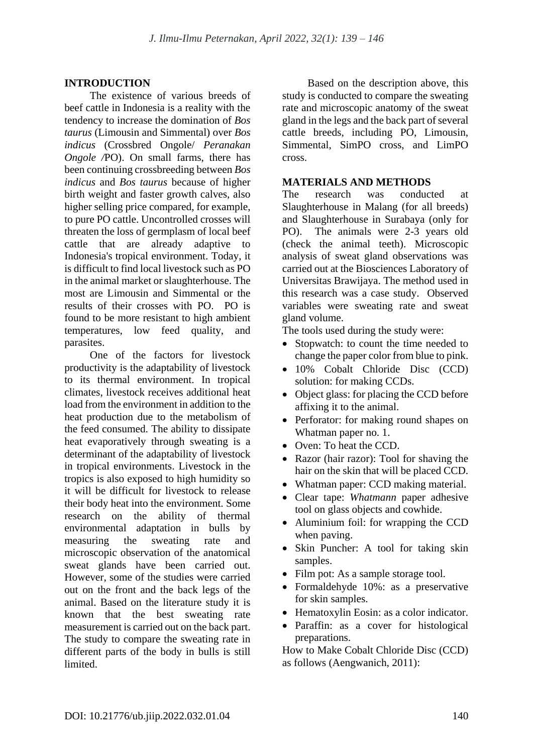## **INTRODUCTION**

The existence of various breeds of beef cattle in Indonesia is a reality with the tendency to increase the domination of *Bos taurus* (Limousin and Simmental) over *Bos indicus* (Crossbred Ongole/ *Peranakan Ongole /*PO). On small farms, there has been continuing crossbreeding between *Bos indicus* and *Bos taurus* because of higher birth weight and faster growth calves, also higher selling price compared, for example, to pure PO cattle. Uncontrolled crosses will threaten the loss of germplasm of local beef cattle that are already adaptive to Indonesia's tropical environment. Today, it is difficult to find local livestock such as PO in the animal market or slaughterhouse. The most are Limousin and Simmental or the results of their crosses with PO. PO is found to be more resistant to high ambient temperatures, low feed quality, and parasites.

One of the factors for livestock productivity is the adaptability of livestock to its thermal environment. In tropical climates, livestock receives additional heat load from the environment in addition to the heat production due to the metabolism of the feed consumed. The ability to dissipate heat evaporatively through sweating is a determinant of the adaptability of livestock in tropical environments. Livestock in the tropics is also exposed to high humidity so it will be difficult for livestock to release their body heat into the environment. Some research on the ability of thermal environmental adaptation in bulls by measuring the sweating rate and microscopic observation of the anatomical sweat glands have been carried out. However, some of the studies were carried out on the front and the back legs of the animal. Based on the literature study it is known that the best sweating rate measurement is carried out on the back part. The study to compare the sweating rate in different parts of the body in bulls is still limited.

Based on the description above, this study is conducted to compare the sweating rate and microscopic anatomy of the sweat gland in the legs and the back part of several cattle breeds, including PO, Limousin, Simmental, SimPO cross, and LimPO cross.

#### **MATERIALS AND METHODS**

The research was conducted at Slaughterhouse in Malang (for all breeds) and Slaughterhouse in Surabaya (only for PO). The animals were 2-3 years old (check the animal teeth). Microscopic analysis of sweat gland observations was carried out at the Biosciences Laboratory of Universitas Brawijaya. The method used in this research was a case study. Observed variables were sweating rate and sweat gland volume.

The tools used during the study were:

- Stopwatch: to count the time needed to change the paper color from blue to pink.
- 10% Cobalt Chloride Disc (CCD) solution: for making CCDs.
- Object glass: for placing the CCD before affixing it to the animal.
- Perforator: for making round shapes on Whatman paper no. 1.
- Oven: To heat the CCD.
- Razor (hair razor): Tool for shaving the hair on the skin that will be placed CCD.
- Whatman paper: CCD making material.
- Clear tape: *Whatmann* paper adhesive tool on glass objects and cowhide.
- Aluminium foil: for wrapping the CCD when paving.
- Skin Puncher: A tool for taking skin samples.
- Film pot: As a sample storage tool.
- Formaldehyde 10%: as a preservative for skin samples.
- Hematoxylin Eosin: as a color indicator.
- Paraffin: as a cover for histological preparations.

How to Make Cobalt Chloride Disc (CCD) as follows (Aengwanich, 2011):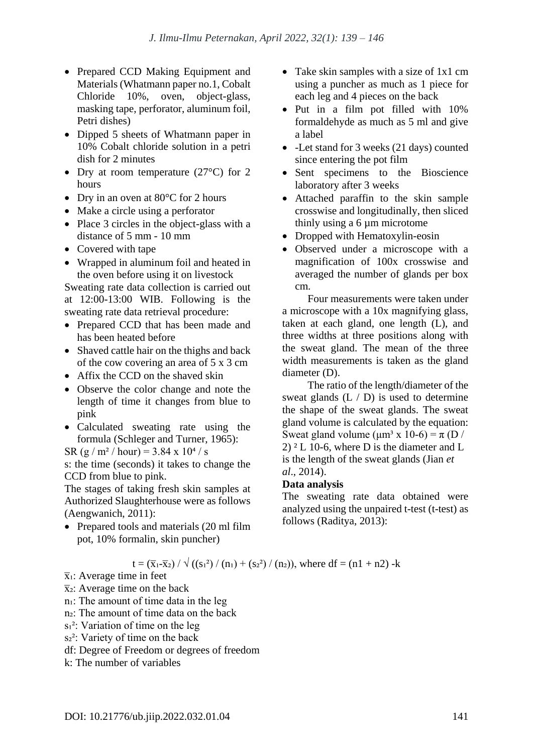- Prepared CCD Making Equipment and Materials (Whatmann paper no.1, Cobalt Chloride 10%, oven, object-glass, masking tape, perforator, aluminum foil, Petri dishes)
- Dipped 5 sheets of Whatmann paper in 10% Cobalt chloride solution in a petri dish for 2 minutes
- Dry at room temperature  $(27^{\circ}C)$  for 2 hours
- Dry in an oven at  $80^{\circ}$ C for 2 hours
- Make a circle using a perforator
- Place 3 circles in the object-glass with a distance of 5 mm - 10 mm
- Covered with tape
- Wrapped in aluminum foil and heated in the oven before using it on livestock

Sweating rate data collection is carried out at 12:00-13:00 WIB. Following is the sweating rate data retrieval procedure:

- Prepared CCD that has been made and has been heated before
- Shaved cattle hair on the thighs and back of the cow covering an area of 5 x 3 cm
- Affix the CCD on the shaved skin
- Observe the color change and note the length of time it changes from blue to pink
- Calculated sweating rate using the formula (Schleger and Turner, 1965):
- SR (g / m<sup>2</sup> / hour) =  $3.84 \times 10^{4}$  / s

s: the time (seconds) it takes to change the CCD from blue to pink.

The stages of taking fresh skin samples at Authorized Slaughterhouse were as follows (Aengwanich, 2011):

• Prepared tools and materials (20 ml film pot, 10% formalin, skin puncher)

- Take skin samples with a size of 1x1 cm using a puncher as much as 1 piece for each leg and 4 pieces on the back
- Put in a film pot filled with  $10\%$ formaldehyde as much as 5 ml and give a label
- -Let stand for 3 weeks (21 days) counted since entering the pot film
- Sent specimens to the Bioscience laboratory after 3 weeks
- Attached paraffin to the skin sample crosswise and longitudinally, then sliced thinly using a 6 um microtome
- Dropped with Hematoxylin-eosin
- Observed under a microscope with a magnification of 100x crosswise and averaged the number of glands per box cm.

Four measurements were taken under a microscope with a 10x magnifying glass, taken at each gland, one length (L), and three widths at three positions along with the sweat gland. The mean of the three width measurements is taken as the gland diameter (D).

The ratio of the length/diameter of the sweat glands  $(L / D)$  is used to determine the shape of the sweat glands. The sweat gland volume is calculated by the equation: Sweat gland volume ( $\mu$ m<sup>3</sup> x 10-6) =  $\pi$  (D /  $2)$   $2$  L 10-6, where D is the diameter and L is the length of the sweat glands (Jian *et al*., 2014).

#### **Data analysis**

The sweating rate data obtained were analyzed using the unpaired t-test (t-test) as follows (Raditya, 2013):

### $t = (\bar{x}_1 - \bar{x}_2) / \sqrt{((s_1^2) / (n_1) + (s_2^2) / (n_2)}$ , where  $df = (n_1 + n_2) - k$

 $\bar{x}_1$ : Average time in feet

- $\bar{x}_2$ : Average time on the back
- n<sub>1</sub>: The amount of time data in the leg

n<sup>2</sup>: The amount of time data on the back

- $s<sub>1</sub><sup>2</sup>$ : Variation of time on the leg
- s<sup>2</sup>: Variety of time on the back

df: Degree of Freedom or degrees of freedom

k: The number of variables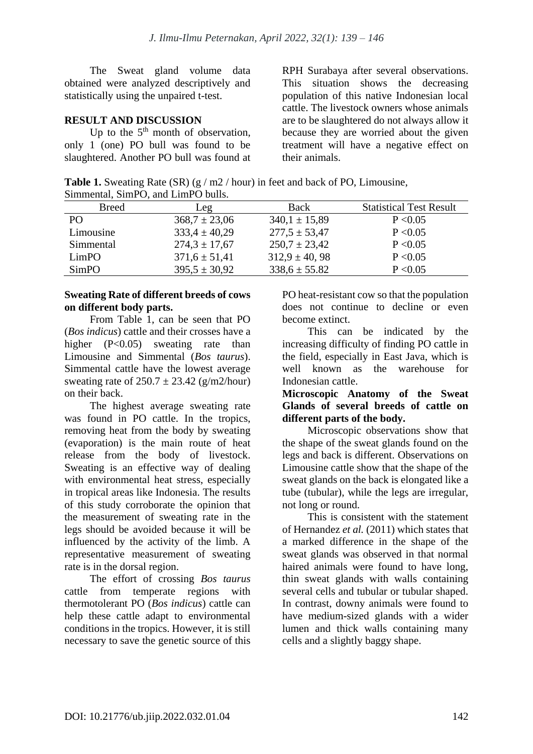The Sweat gland volume data obtained were analyzed descriptively and statistically using the unpaired t-test.

## **RESULT AND DISCUSSION**

Up to the  $5<sup>th</sup>$  month of observation, only 1 (one) PO bull was found to be slaughtered. Another PO bull was found at

RPH Surabaya after several observations. This situation shows the decreasing population of this native Indonesian local cattle. The livestock owners whose animals are to be slaughtered do not always allow it because they are worried about the given treatment will have a negative effect on their animals.

**Table 1.** Sweating Rate (SR) (g / m2 / hour) in feet and back of PO, Limousine, Simmental, SimPO, and LimPO bulls.

| <b>Breed</b> | Leg               | Back              | <b>Statistical Test Result</b> |  |
|--------------|-------------------|-------------------|--------------------------------|--|
| PO.          | $368.7 \pm 23.06$ | $340.1 \pm 15.89$ | P < 0.05                       |  |
| Limousine    | $333.4 \pm 40.29$ | $277.5 \pm 53.47$ | P < 0.05                       |  |
| Simmental    | $274.3 \pm 17.67$ | $250.7 \pm 23.42$ | P < 0.05                       |  |
| LimPO        | $371.6 \pm 51.41$ | $312.9 \pm 40.98$ | P < 0.05                       |  |
| SimPO        | $395.5 \pm 30.92$ | $338.6 \pm 55.82$ | P < 0.05                       |  |

### **Sweating Rate of different breeds of cows on different body parts.**

From Table 1, can be seen that PO (*Bos indicus*) cattle and their crosses have a higher (P<0.05) sweating rate than Limousine and Simmental (*Bos taurus*). Simmental cattle have the lowest average sweating rate of  $250.7 \pm 23.42$  (g/m2/hour) on their back.

The highest average sweating rate was found in PO cattle. In the tropics, removing heat from the body by sweating (evaporation) is the main route of heat release from the body of livestock. Sweating is an effective way of dealing with environmental heat stress, especially in tropical areas like Indonesia. The results of this study corroborate the opinion that the measurement of sweating rate in the legs should be avoided because it will be influenced by the activity of the limb. A representative measurement of sweating rate is in the dorsal region.

The effort of crossing *Bos taurus* cattle from temperate regions with thermotolerant PO (*Bos indicus*) cattle can help these cattle adapt to environmental conditions in the tropics. However, it is still necessary to save the genetic source of this PO heat-resistant cow so that the population does not continue to decline or even become extinct.

This can be indicated by the increasing difficulty of finding PO cattle in the field, especially in East Java, which is well known as the warehouse for Indonesian cattle.

#### **Microscopic Anatomy of the Sweat Glands of several breeds of cattle on different parts of the body.**

Microscopic observations show that the shape of the sweat glands found on the legs and back is different. Observations on Limousine cattle show that the shape of the sweat glands on the back is elongated like a tube (tubular), while the legs are irregular, not long or round.

This is consistent with the statement of Hernandez *et al.* (2011) which states that a marked difference in the shape of the sweat glands was observed in that normal haired animals were found to have long, thin sweat glands with walls containing several cells and tubular or tubular shaped. In contrast, downy animals were found to have medium-sized glands with a wider lumen and thick walls containing many cells and a slightly baggy shape.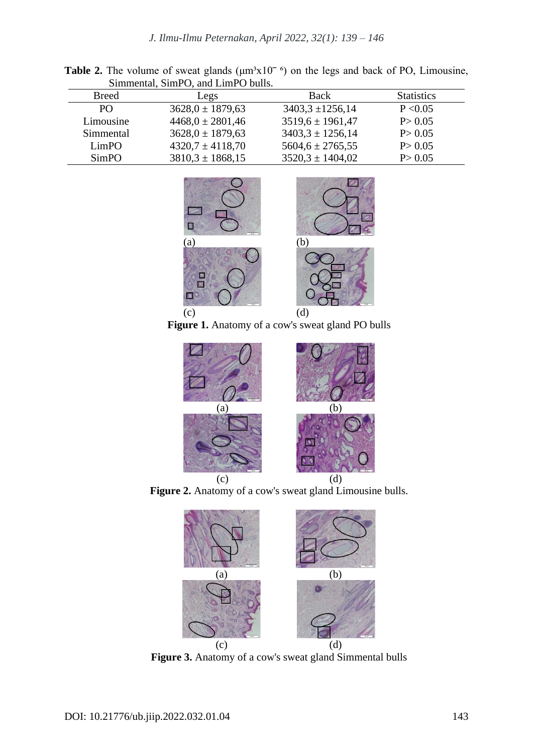| $\mathcal{L}$ minichial, $\mathcal{L}$ min $\cup$ , and $\mathcal{L}$ min $\cup$ buns. |                      |                        |                   |  |
|----------------------------------------------------------------------------------------|----------------------|------------------------|-------------------|--|
| <b>Breed</b>                                                                           | Legs                 | <b>Back</b>            | <b>Statistics</b> |  |
| PO <sub>1</sub>                                                                        | $3628.0 \pm 1879.63$ | $3403.3 \pm 1256.14$   | P < 0.05          |  |
| Limousine                                                                              | $4468,0 \pm 2801,46$ | $3519.6 \pm 1961.47$   | P > 0.05          |  |
| Simmental                                                                              | $3628.0 \pm 1879.63$ | $3403.3 \pm 1256.14$   | P > 0.05          |  |
| LimPO                                                                                  | $4320,7 \pm 4118,70$ | $5604, 6 \pm 2765, 55$ | P > 0.05          |  |
| SimPO                                                                                  | $3810.3 \pm 1868.15$ | $3520.3 \pm 1404.02$   | P > 0.05          |  |
|                                                                                        |                      |                        |                   |  |

**Table 2.** The volume of sweat glands ( $\mu$ m<sup>3</sup>x10<sup> $\sim$  6</sup>) on the legs and back of PO, Limousine, Simmental, SimPO, and LimPO bulls.



**Figure 1.** Anatomy of a cow's sweat gland PO bulls







**Figure 3.** Anatomy of a cow's sweat gland Simmental bulls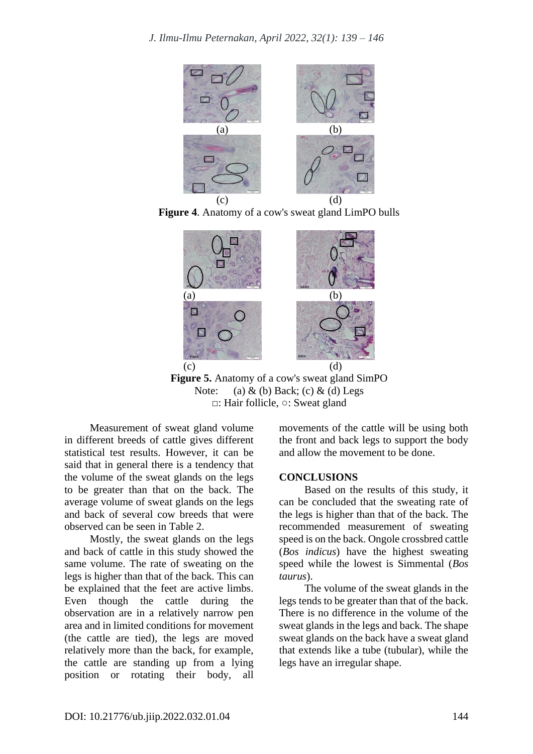





**Figure 5.** Anatomy of a cow's sweat gland SimPO Note: (a)  $\&$  (b) Back; (c)  $\&$  (d) Legs **□**: Hair follicle, **○**: Sweat gland

Measurement of sweat gland volume in different breeds of cattle gives different statistical test results. However, it can be said that in general there is a tendency that the volume of the sweat glands on the legs to be greater than that on the back. The average volume of sweat glands on the legs and back of several cow breeds that were observed can be seen in Table 2.

Mostly, the sweat glands on the legs and back of cattle in this study showed the same volume. The rate of sweating on the legs is higher than that of the back. This can be explained that the feet are active limbs. Even though the cattle during the observation are in a relatively narrow pen area and in limited conditions for movement (the cattle are tied), the legs are moved relatively more than the back, for example, the cattle are standing up from a lying position or rotating their body, all movements of the cattle will be using both the front and back legs to support the body and allow the movement to be done.

#### **CONCLUSIONS**

Based on the results of this study, it can be concluded that the sweating rate of the legs is higher than that of the back. The recommended measurement of sweating speed is on the back. Ongole crossbred cattle (*Bos indicus*) have the highest sweating speed while the lowest is Simmental (*Bos taurus*).

The volume of the sweat glands in the legs tends to be greater than that of the back. There is no difference in the volume of the sweat glands in the legs and back. The shape sweat glands on the back have a sweat gland that extends like a tube (tubular), while the legs have an irregular shape.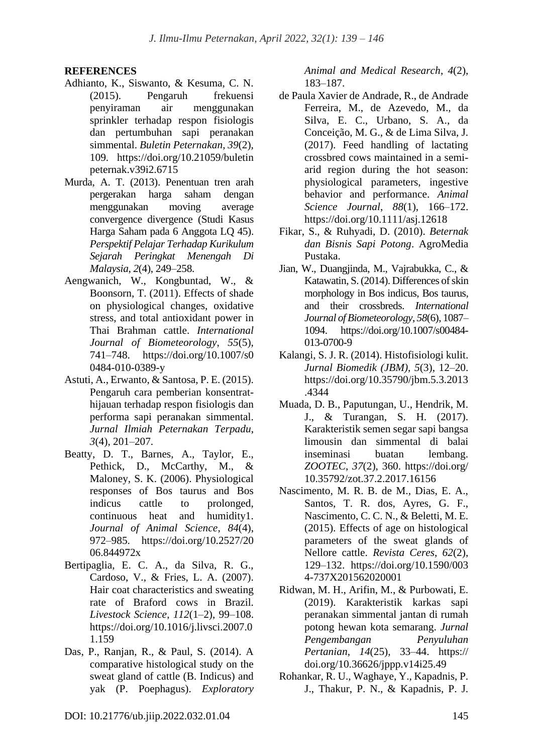## **REFERENCES**

- Adhianto, K., Siswanto, & Kesuma, C. N. (2015). Pengaruh frekuensi penyiraman air menggunakan sprinkler terhadap respon fisiologis dan pertumbuhan sapi peranakan simmental. *Buletin Peternakan*, *39*(2), 109. https://doi.org/10.21059/buletin peternak.v39i2.6715
- Murda, A. T. (2013). Penentuan tren arah pergerakan harga saham dengan menggunakan moving average convergence divergence (Studi Kasus Harga Saham pada 6 Anggota LQ 45). *Perspektif Pelajar Terhadap Kurikulum Sejarah Peringkat Menengah Di Malaysia*, *2*(4), 249–258.
- Aengwanich, W., Kongbuntad, W., & Boonsorn, T. (2011). Effects of shade on physiological changes, oxidative stress, and total antioxidant power in Thai Brahman cattle. *International Journal of Biometeorology*, *55*(5), 741–748. https://doi.org/10.1007/s0 0484-010-0389-y
- Astuti, A., Erwanto, & Santosa, P. E. (2015). Pengaruh cara pemberian konsentrathijauan terhadap respon fisiologis dan performa sapi peranakan simmental. *Jurnal Ilmiah Peternakan Terpadu*, *3*(4), 201–207.
- Beatty, D. T., Barnes, A., Taylor, E., Pethick, D., McCarthy, M., & Maloney, S. K. (2006). Physiological responses of Bos taurus and Bos indicus cattle to prolonged, continuous heat and humidity1. *Journal of Animal Science*, *84*(4), 972–985. https://doi.org/10.2527/20 06.844972x
- Bertipaglia, E. C. A., da Silva, R. G., Cardoso, V., & Fries, L. A. (2007). Hair coat characteristics and sweating rate of Braford cows in Brazil. *Livestock Science*, *112*(1–2), 99–108. https://doi.org/10.1016/j.livsci.2007.0 1.159
- Das, P., Ranjan, R., & Paul, S. (2014). A comparative histological study on the sweat gland of cattle (B. Indicus) and yak (P. Poephagus). *Exploratory*

*Animal and Medical Research*, *4*(2), 183–187.

- de Paula Xavier de Andrade, R., de Andrade Ferreira, M., de Azevedo, M., da Silva, E. C., Urbano, S. A., da Conceição, M. G., & de Lima Silva, J. (2017). Feed handling of lactating crossbred cows maintained in a semiarid region during the hot season: physiological parameters, ingestive behavior and performance. *Animal Science Journal*, *88*(1), 166–172. https://doi.org/10.1111/asj.12618
- Fikar, S., & Ruhyadi, D. (2010). *Beternak dan Bisnis Sapi Potong*. AgroMedia Pustaka.
- Jian, W., Duangjinda, M., Vajrabukka, C., & Katawatin, S. (2014). Differences of skin morphology in Bos indicus, Bos taurus, and their crossbreds. *International Journal of Biometeorology*, *58*(6), 1087– 1094. https://doi.org/10.1007/s00484- 013-0700-9
- Kalangi, S. J. R. (2014). Histofisiologi kulit. *Jurnal Biomedik (JBM)*, *5*(3), 12–20. https://doi.org/10.35790/jbm.5.3.2013 .4344
- Muada, D. B., Paputungan, U., Hendrik, M. J., & Turangan, S. H. (2017). Karakteristik semen segar sapi bangsa limousin dan simmental di balai inseminasi buatan lembang. *ZOOTEC*, *37*(2), 360. https://doi.org/ 10.35792/zot.37.2.2017.16156
- Nascimento, M. R. B. de M., Dias, E. A., Santos, T. R. dos, Ayres, G. F., Nascimento, C. C. N., & Beletti, M. E. (2015). Effects of age on histological parameters of the sweat glands of Nellore cattle. *Revista Ceres*, *62*(2), 129–132. https://doi.org/10.1590/003 4-737X201562020001
- Ridwan, M. H., Arifin, M., & Purbowati, E. (2019). Karakteristik karkas sapi peranakan simmental jantan di rumah potong hewan kota semarang. *Jurnal Pengembangan Penyuluhan Pertanian*, *14*(25), 33–44. https:// doi.org/10.36626/jppp.v14i25.49
- Rohankar, R. U., Waghaye, Y., Kapadnis, P. J., Thakur, P. N., & Kapadnis, P. J.